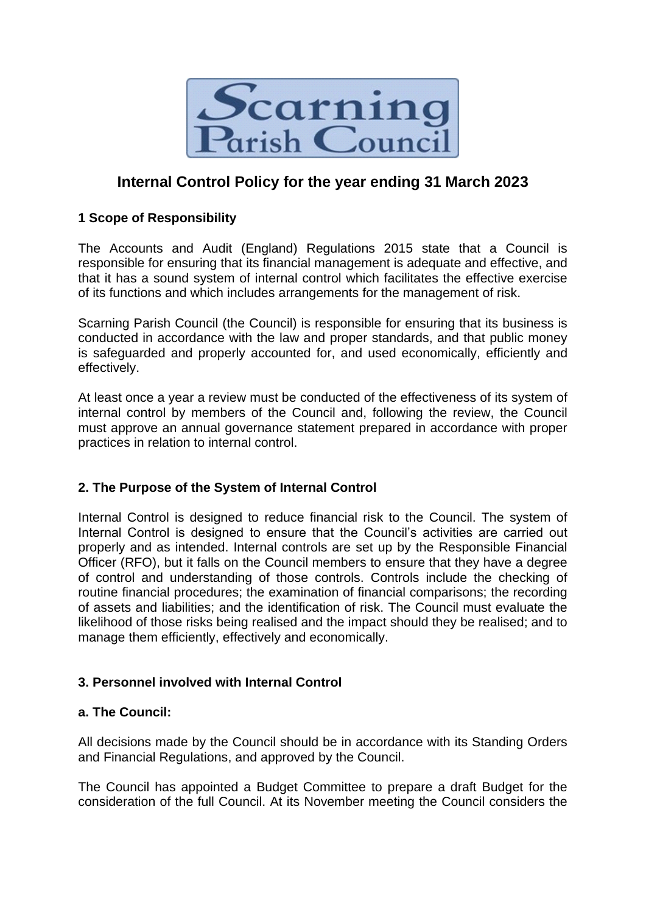

# **Internal Control Policy for the year ending 31 March 2023**

## **1 Scope of Responsibility**

The Accounts and Audit (England) Regulations 2015 state that a Council is responsible for ensuring that its financial management is adequate and effective, and that it has a sound system of internal control which facilitates the effective exercise of its functions and which includes arrangements for the management of risk.

Scarning Parish Council (the Council) is responsible for ensuring that its business is conducted in accordance with the law and proper standards, and that public money is safeguarded and properly accounted for, and used economically, efficiently and effectively.

At least once a year a review must be conducted of the effectiveness of its system of internal control by members of the Council and, following the review, the Council must approve an annual governance statement prepared in accordance with proper practices in relation to internal control.

## **2. The Purpose of the System of Internal Control**

Internal Control is designed to reduce financial risk to the Council. The system of Internal Control is designed to ensure that the Council's activities are carried out properly and as intended. Internal controls are set up by the Responsible Financial Officer (RFO), but it falls on the Council members to ensure that they have a degree of control and understanding of those controls. Controls include the checking of routine financial procedures; the examination of financial comparisons; the recording of assets and liabilities; and the identification of risk. The Council must evaluate the likelihood of those risks being realised and the impact should they be realised; and to manage them efficiently, effectively and economically.

#### **3. Personnel involved with Internal Control**

## **a. The Council:**

All decisions made by the Council should be in accordance with its Standing Orders and Financial Regulations, and approved by the Council.

The Council has appointed a Budget Committee to prepare a draft Budget for the consideration of the full Council. At its November meeting the Council considers the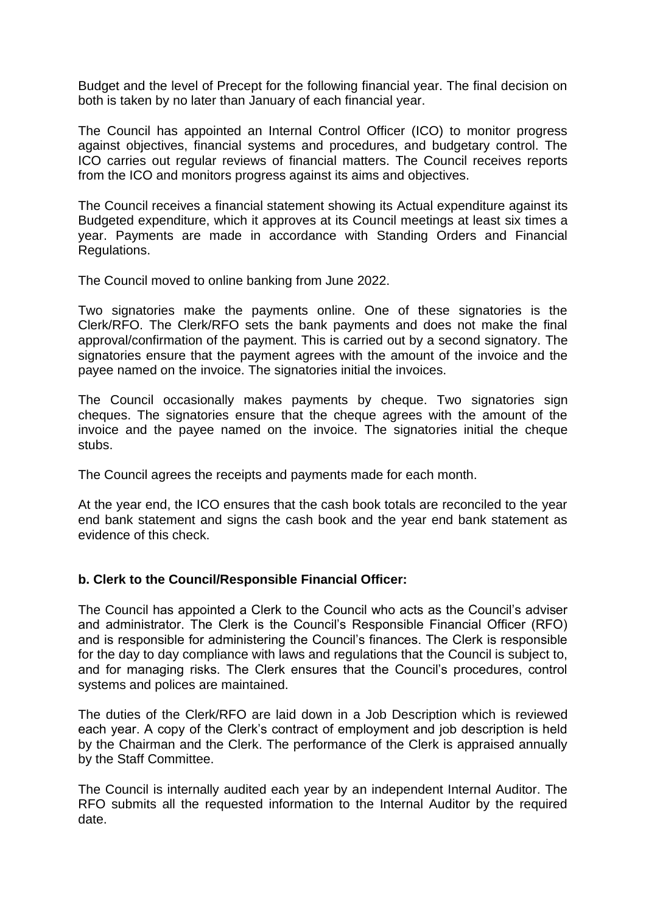Budget and the level of Precept for the following financial year. The final decision on both is taken by no later than January of each financial year.

The Council has appointed an Internal Control Officer (ICO) to monitor progress against objectives, financial systems and procedures, and budgetary control. The ICO carries out regular reviews of financial matters. The Council receives reports from the ICO and monitors progress against its aims and objectives.

The Council receives a financial statement showing its Actual expenditure against its Budgeted expenditure, which it approves at its Council meetings at least six times a year. Payments are made in accordance with Standing Orders and Financial Regulations.

The Council moved to online banking from June 2022.

Two signatories make the payments online. One of these signatories is the Clerk/RFO. The Clerk/RFO sets the bank payments and does not make the final approval/confirmation of the payment. This is carried out by a second signatory. The signatories ensure that the payment agrees with the amount of the invoice and the payee named on the invoice. The signatories initial the invoices.

The Council occasionally makes payments by cheque. Two signatories sign cheques. The signatories ensure that the cheque agrees with the amount of the invoice and the payee named on the invoice. The signatories initial the cheque stubs.

The Council agrees the receipts and payments made for each month.

At the year end, the ICO ensures that the cash book totals are reconciled to the year end bank statement and signs the cash book and the year end bank statement as evidence of this check.

#### **b. Clerk to the Council/Responsible Financial Officer:**

The Council has appointed a Clerk to the Council who acts as the Council's adviser and administrator. The Clerk is the Council's Responsible Financial Officer (RFO) and is responsible for administering the Council's finances. The Clerk is responsible for the day to day compliance with laws and regulations that the Council is subject to, and for managing risks. The Clerk ensures that the Council's procedures, control systems and polices are maintained.

The duties of the Clerk/RFO are laid down in a Job Description which is reviewed each year. A copy of the Clerk's contract of employment and job description is held by the Chairman and the Clerk. The performance of the Clerk is appraised annually by the Staff Committee.

The Council is internally audited each year by an independent Internal Auditor. The RFO submits all the requested information to the Internal Auditor by the required date.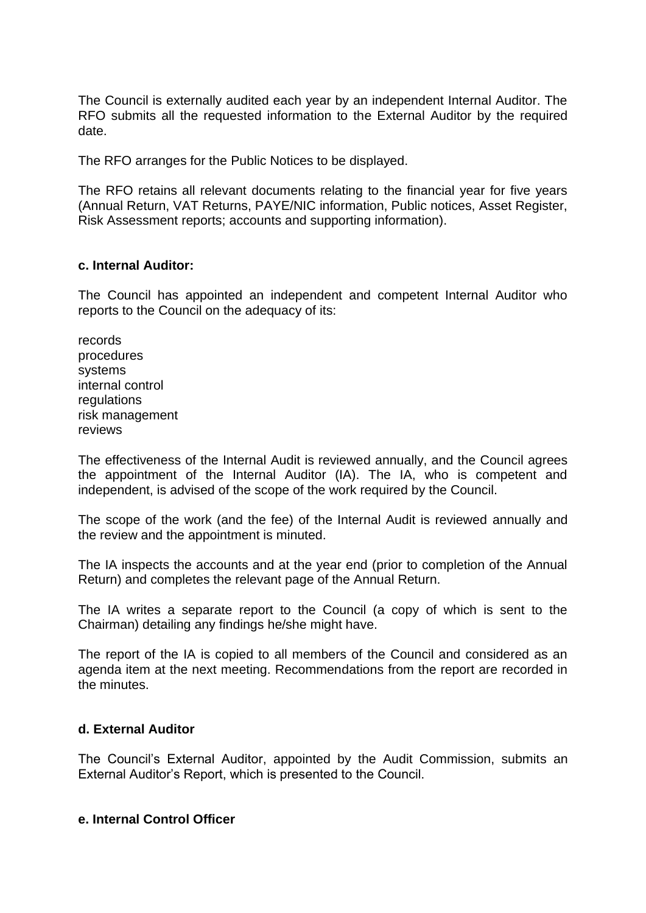The Council is externally audited each year by an independent Internal Auditor. The RFO submits all the requested information to the External Auditor by the required date.

The RFO arranges for the Public Notices to be displayed.

The RFO retains all relevant documents relating to the financial year for five years (Annual Return, VAT Returns, PAYE/NIC information, Public notices, Asset Register, Risk Assessment reports; accounts and supporting information).

#### **c. Internal Auditor:**

The Council has appointed an independent and competent Internal Auditor who reports to the Council on the adequacy of its:

records procedures systems internal control regulations risk management reviews

The effectiveness of the Internal Audit is reviewed annually, and the Council agrees the appointment of the Internal Auditor (IA). The IA, who is competent and independent, is advised of the scope of the work required by the Council.

The scope of the work (and the fee) of the Internal Audit is reviewed annually and the review and the appointment is minuted.

The IA inspects the accounts and at the year end (prior to completion of the Annual Return) and completes the relevant page of the Annual Return.

The IA writes a separate report to the Council (a copy of which is sent to the Chairman) detailing any findings he/she might have.

The report of the IA is copied to all members of the Council and considered as an agenda item at the next meeting. Recommendations from the report are recorded in the minutes.

#### **d. External Auditor**

The Council's External Auditor, appointed by the Audit Commission, submits an External Auditor's Report, which is presented to the Council.

#### **e. Internal Control Officer**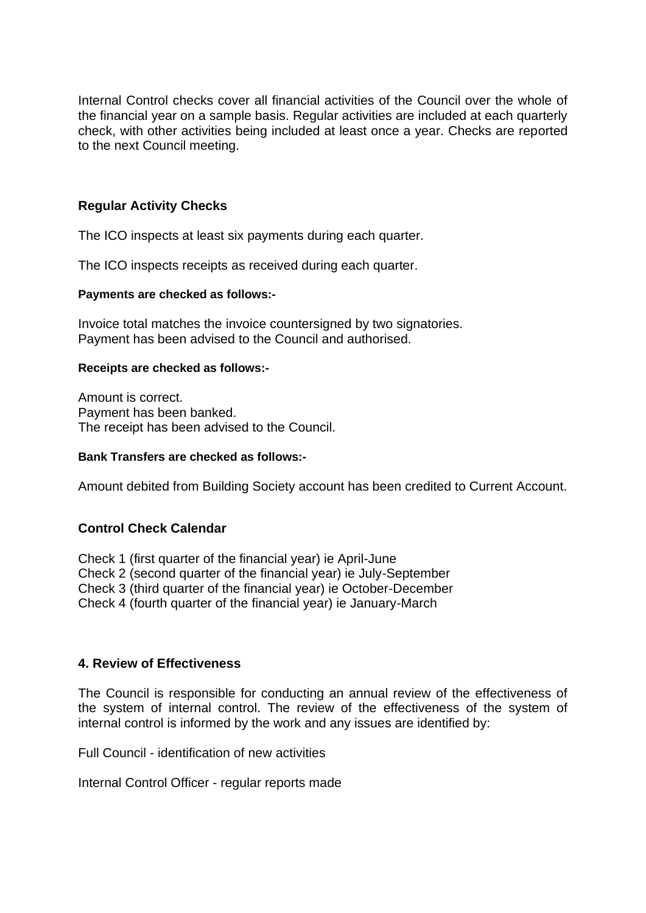Internal Control checks cover all financial activities of the Council over the whole of the financial year on a sample basis. Regular activities are included at each quarterly check, with other activities being included at least once a year. Checks are reported to the next Council meeting.

### **Regular Activity Checks**

The ICO inspects at least six payments during each quarter.

The ICO inspects receipts as received during each quarter.

#### **Payments are checked as follows:-**

Invoice total matches the invoice countersigned by two signatories. Payment has been advised to the Council and authorised.

#### **Receipts are checked as follows:-**

Amount is correct. Payment has been banked. The receipt has been advised to the Council.

#### **Bank Transfers are checked as follows:-**

Amount debited from Building Society account has been credited to Current Account.

#### **Control Check Calendar**

Check 1 (first quarter of the financial year) ie April-June Check 2 (second quarter of the financial year) ie July-September Check 3 (third quarter of the financial year) ie October-December Check 4 (fourth quarter of the financial year) ie January-March

#### **4. Review of Effectiveness**

The Council is responsible for conducting an annual review of the effectiveness of the system of internal control. The review of the effectiveness of the system of internal control is informed by the work and any issues are identified by:

Full Council - identification of new activities

Internal Control Officer - regular reports made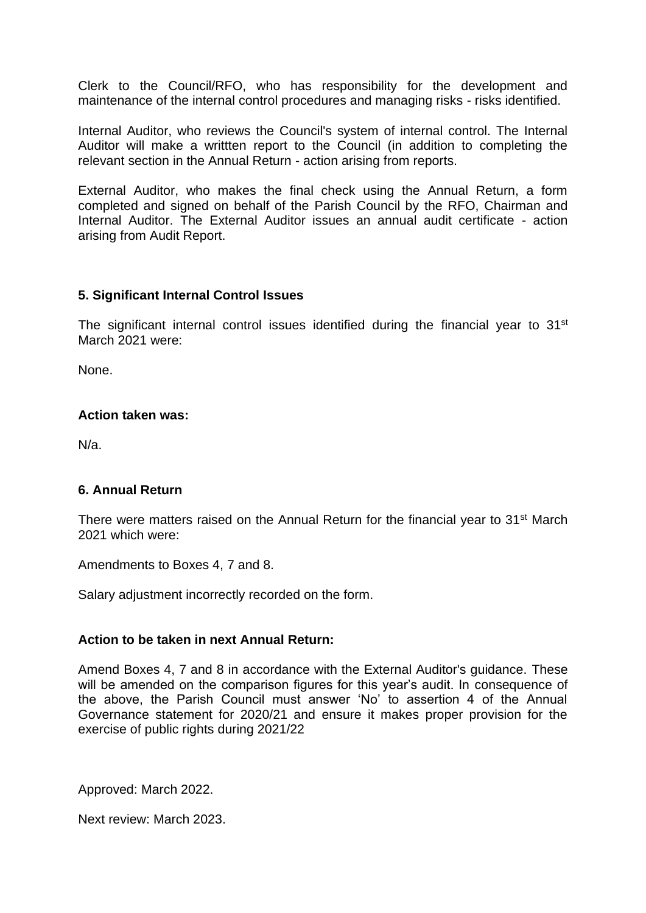Clerk to the Council/RFO, who has responsibility for the development and maintenance of the internal control procedures and managing risks - risks identified.

Internal Auditor, who reviews the Council's system of internal control. The Internal Auditor will make a writtten report to the Council (in addition to completing the relevant section in the Annual Return - action arising from reports.

External Auditor, who makes the final check using the Annual Return, a form completed and signed on behalf of the Parish Council by the RFO, Chairman and Internal Auditor. The External Auditor issues an annual audit certificate - action arising from Audit Report.

#### **5. Significant Internal Control Issues**

The significant internal control issues identified during the financial year to 31<sup>st</sup> March 2021 were:

None.

#### **Action taken was:**

N/a.

#### **6. Annual Return**

There were matters raised on the Annual Return for the financial year to  $31<sup>st</sup>$  March 2021 which were:

Amendments to Boxes 4, 7 and 8.

Salary adjustment incorrectly recorded on the form.

#### **Action to be taken in next Annual Return:**

Amend Boxes 4, 7 and 8 in accordance with the External Auditor's guidance. These will be amended on the comparison figures for this year's audit. In consequence of the above, the Parish Council must answer 'No' to assertion 4 of the Annual Governance statement for 2020/21 and ensure it makes proper provision for the exercise of public rights during 2021/22

Approved: March 2022.

Next review: March 2023.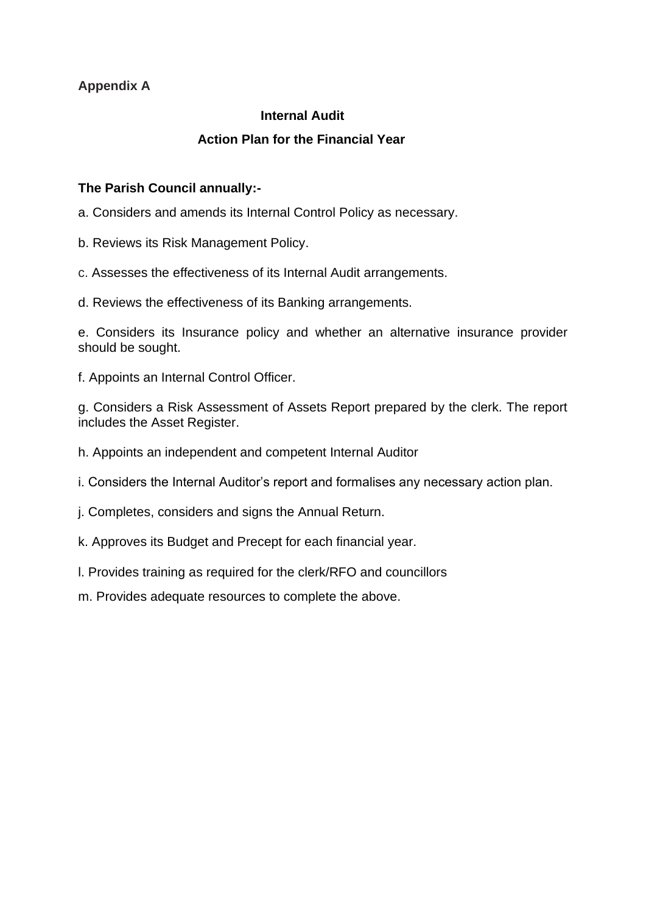## **Appendix A**

## **Internal Audit**

## **Action Plan for the Financial Year**

## **The Parish Council annually:-**

a. Considers and amends its Internal Control Policy as necessary.

- b. Reviews its Risk Management Policy.
- c. Assesses the effectiveness of its Internal Audit arrangements.
- d. Reviews the effectiveness of its Banking arrangements.

e. Considers its Insurance policy and whether an alternative insurance provider should be sought.

f. Appoints an Internal Control Officer.

g. Considers a Risk Assessment of Assets Report prepared by the clerk. The report includes the Asset Register.

- h. Appoints an independent and competent Internal Auditor
- i. Considers the Internal Auditor's report and formalises any necessary action plan.
- j. Completes, considers and signs the Annual Return.
- k. Approves its Budget and Precept for each financial year.
- l. Provides training as required for the clerk/RFO and councillors
- m. Provides adequate resources to complete the above.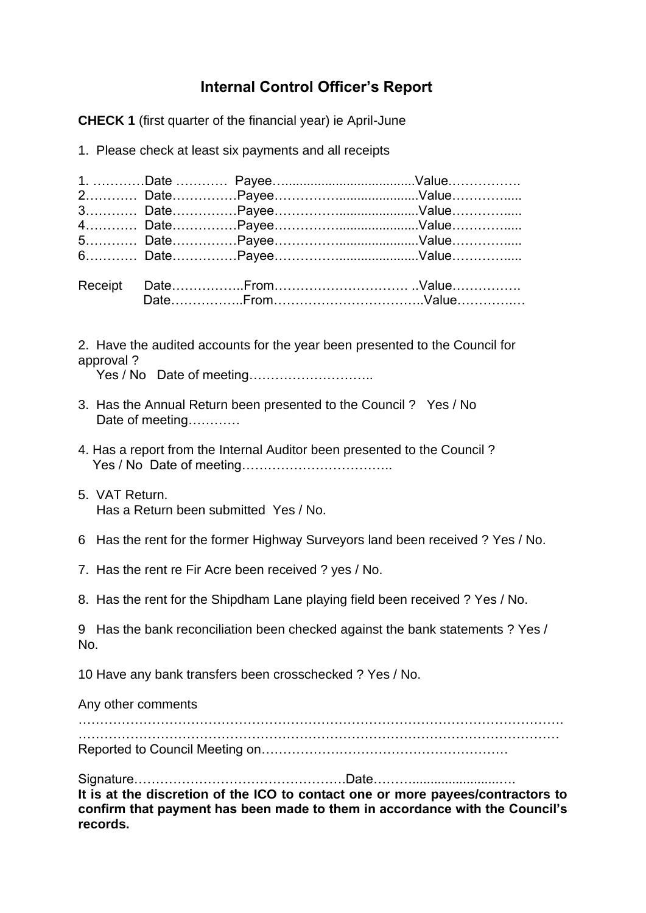# **Internal Control Officer's Report**

**CHECK 1** (first quarter of the financial year) ie April-June

1. Please check at least six payments and all receipts

2. Have the audited accounts for the year been presented to the Council for approval ?

Yes / No Date of meeting………………………..

- 3. Has the Annual Return been presented to the Council ? Yes / No Date of meeting…………
- 4. Has a report from the Internal Auditor been presented to the Council ? Yes / No Date of meeting……………………………..
- 5. VAT Return. Has a Return been submitted Yes / No.
- 6 Has the rent for the former Highway Surveyors land been received ? Yes / No.
- 7. Has the rent re Fir Acre been received ? yes / No.
- 8. Has the rent for the Shipdham Lane playing field been received ? Yes / No.

9 Has the bank reconciliation been checked against the bank statements ? Yes / No.

10 Have any bank transfers been crosschecked ? Yes / No.

Any other comments …………………………………………………………………………………………………. ………………………………………………………………………………………………… Reported to Council Meeting on…………………………………………………

Signature………………………………………….Date………........................…. **It is at the discretion of the ICO to contact one or more payees/contractors to confirm that payment has been made to them in accordance with the Council's records.**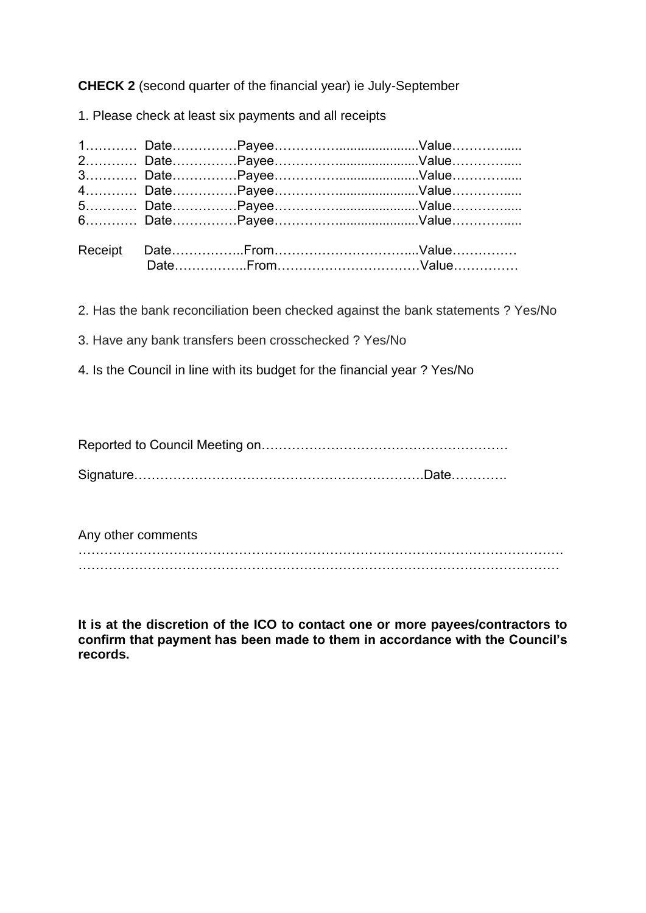**CHECK 2** (second quarter of the financial year) ie July-September

1. Please check at least six payments and all receipts

2. Has the bank reconciliation been checked against the bank statements ? Yes/No

- 3. Have any bank transfers been crosschecked ? Yes/No
- 4. Is the Council in line with its budget for the financial year ? Yes/No

Reported to Council Meeting on…………………………………………………

Signature………………………………………………………….Date………….

Any other comments …………………………………………………………………………………………………. …………………………………………………………………………………………………

**It is at the discretion of the ICO to contact one or more payees/contractors to confirm that payment has been made to them in accordance with the Council's records.**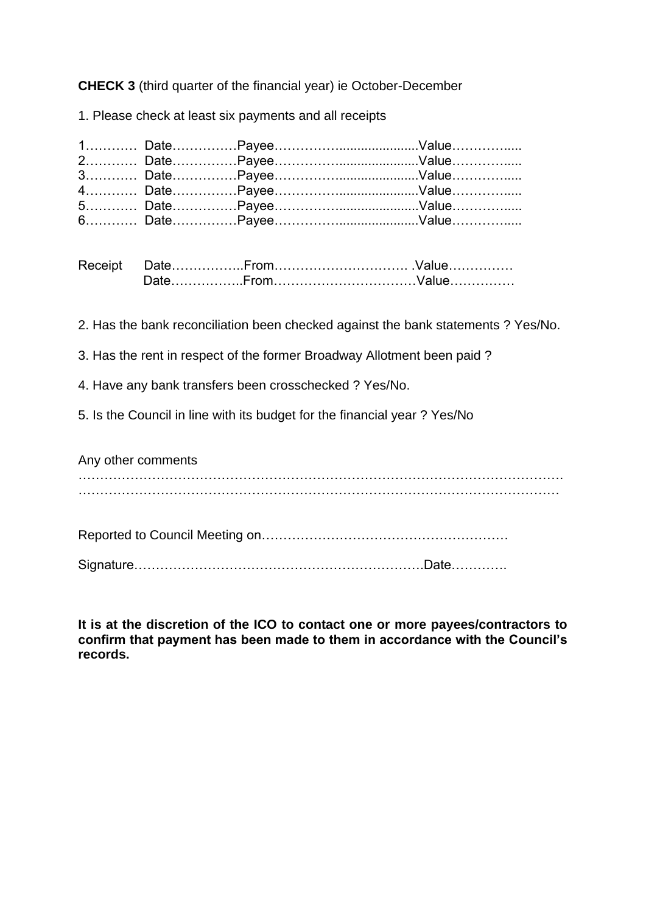**CHECK 3** (third quarter of the financial year) ie October-December

1. Please check at least six payments and all receipts

| Receipt |  |  |
|---------|--|--|
|         |  |  |

2. Has the bank reconciliation been checked against the bank statements ? Yes/No.

3. Has the rent in respect of the former Broadway Allotment been paid ?

4. Have any bank transfers been crosschecked ? Yes/No.

5. Is the Council in line with its budget for the financial year ? Yes/No

Any other comments

…………………………………………………………………………………………………. …………………………………………………………………………………………………

Reported to Council Meeting on…………………………………………………

Signature………………………………………………………….Date………….

**It is at the discretion of the ICO to contact one or more payees/contractors to confirm that payment has been made to them in accordance with the Council's records.**